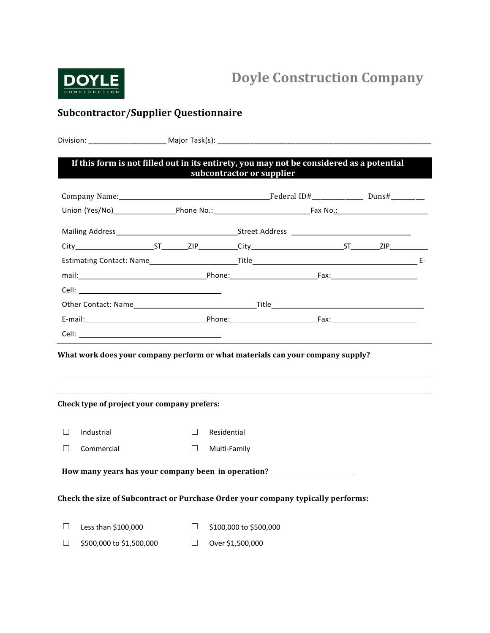

# Doyle Construction Company

# Subcontractor/Supplier Questionnaire

|        | If this form is not filled out in its entirety, you may not be considered as a potential                                      |        |                               | subcontractor or supplier                                                                                             |  |  |
|--------|-------------------------------------------------------------------------------------------------------------------------------|--------|-------------------------------|-----------------------------------------------------------------------------------------------------------------------|--|--|
|        |                                                                                                                               |        |                               |                                                                                                                       |  |  |
|        |                                                                                                                               |        |                               |                                                                                                                       |  |  |
|        |                                                                                                                               |        |                               |                                                                                                                       |  |  |
|        |                                                                                                                               |        |                               |                                                                                                                       |  |  |
|        |                                                                                                                               |        |                               |                                                                                                                       |  |  |
|        |                                                                                                                               |        |                               |                                                                                                                       |  |  |
|        |                                                                                                                               |        |                               |                                                                                                                       |  |  |
|        |                                                                                                                               |        |                               |                                                                                                                       |  |  |
|        |                                                                                                                               |        |                               |                                                                                                                       |  |  |
|        |                                                                                                                               |        |                               | <u> 1989 - Johann Stein, mars and de Branch and de Branch and de Branch and de Branch and de Branch and de Branch</u> |  |  |
|        | What work does your company perform or what materials can your company supply?<br>Check type of project your company prefers: |        |                               |                                                                                                                       |  |  |
| $\Box$ | Industrial                                                                                                                    | П.     | Residential                   |                                                                                                                       |  |  |
| $\Box$ | Commercial                                                                                                                    | $\Box$ | Multi-Family                  |                                                                                                                       |  |  |
|        | How many years has your company been in operation? _____________________________                                              |        |                               |                                                                                                                       |  |  |
|        | Check the size of Subcontract or Purchase Order your company typically performs:                                              |        |                               |                                                                                                                       |  |  |
| $\Box$ | Less than \$100,000                                                                                                           |        | $\Box$ \$100,000 to \$500,000 |                                                                                                                       |  |  |

☐ \$500,000 to \$1,500,000 ☐ Over \$1,500,000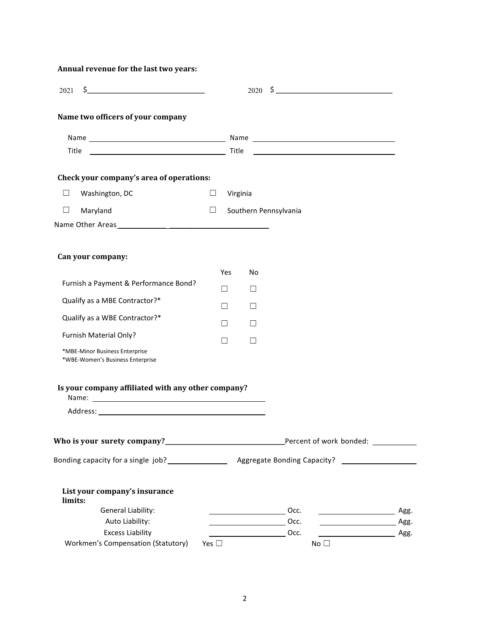| Annual revenue for the last two years:                             |               |          |                               |             |        |
|--------------------------------------------------------------------|---------------|----------|-------------------------------|-------------|--------|
| $2021 \quad $$                                                     |               |          |                               |             |        |
| Name two officers of your company                                  |               |          |                               |             |        |
|                                                                    |               |          |                               |             |        |
|                                                                    |               |          |                               |             |        |
| Check your company's area of operations:                           |               |          |                               |             |        |
| Washington, DC<br>□                                                | ⊔             | Virginia |                               |             |        |
| Maryland<br>$\Box$                                                 | $\Box$        |          | Southern Pennsylvania         |             |        |
|                                                                    |               |          |                               |             |        |
|                                                                    |               |          |                               |             |        |
| Can your company:                                                  |               |          |                               |             |        |
| Furnish a Payment & Performance Bond?                              |               | Yes      | No                            |             |        |
|                                                                    |               | П        | $\Box$                        |             |        |
| Qualify as a MBE Contractor?*                                      |               | П        | П                             |             |        |
| Qualify as a WBE Contractor?*                                      |               | П        | $\perp$                       |             |        |
| Furnish Material Only?                                             |               | П        | П                             |             |        |
| *MBE-Minor Business Enterprise<br>*WBE-Women's Business Enterprise |               |          |                               |             |        |
| Is your company affiliated with any other company?                 |               |          |                               |             |        |
|                                                                    |               |          |                               |             |        |
|                                                                    |               |          |                               |             |        |
|                                                                    |               |          |                               |             |        |
| List your company's insurance<br>limits:                           |               |          |                               |             |        |
| General Liability:                                                 |               |          |                               | Occ.        | _ Agg. |
| Auto Liability:                                                    |               |          |                               | Occ.        | Agg.   |
| <b>Excess Liability</b>                                            |               |          | $\overline{\phantom{a}}$ Occ. |             |        |
| Workmen's Compensation (Statutory)                                 | Yes $\square$ |          |                               | $No$ $\Box$ |        |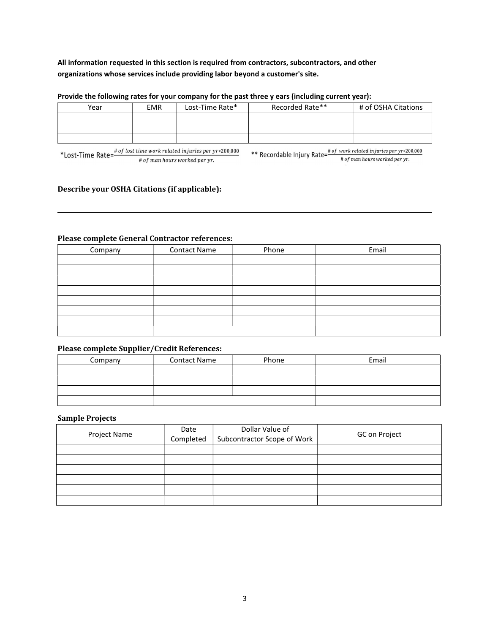# All information requested in this section is required from contractors, subcontractors, and other organizations whose services include providing labor beyond a customer's site.

| Year | <b>EMR</b> | Lost-Time Rate* | Recorded Rate** | # of OSHA Citations |
|------|------------|-----------------|-----------------|---------------------|
|      |            |                 |                 |                     |
|      |            |                 |                 |                     |
|      |            |                 |                 |                     |

#### Provide the following rates for your company for the past three y ears (including current year):

# ∗200,000 \*Lost-Time Rate= # ℎ . # ∗200,000 \*\* Recordable Injury Rate= $\frac{\# of \ work \ related \ injuries \ per \ yr\cdot 200,000}{\# of \ man \ hours \ worked \ per \ yr.}$ 

### Describe your OSHA Citations (if applicable):

#### Please complete General Contractor references:

| Company | <b>Contact Name</b> | Phone | Email |
|---------|---------------------|-------|-------|
|         |                     |       |       |
|         |                     |       |       |
|         |                     |       |       |
|         |                     |       |       |
|         |                     |       |       |
|         |                     |       |       |
|         |                     |       |       |
|         |                     |       |       |

# Please complete Supplier/Credit References:

| Company | <b>Contact Name</b> | Phone | Email |
|---------|---------------------|-------|-------|
|         |                     |       |       |
|         |                     |       |       |
|         |                     |       |       |
|         |                     |       |       |

#### Sample Projects

| Project Name | Date<br>Completed | Dollar Value of<br>Subcontractor Scope of Work | GC on Project |
|--------------|-------------------|------------------------------------------------|---------------|
|              |                   |                                                |               |
|              |                   |                                                |               |
|              |                   |                                                |               |
|              |                   |                                                |               |
|              |                   |                                                |               |
|              |                   |                                                |               |